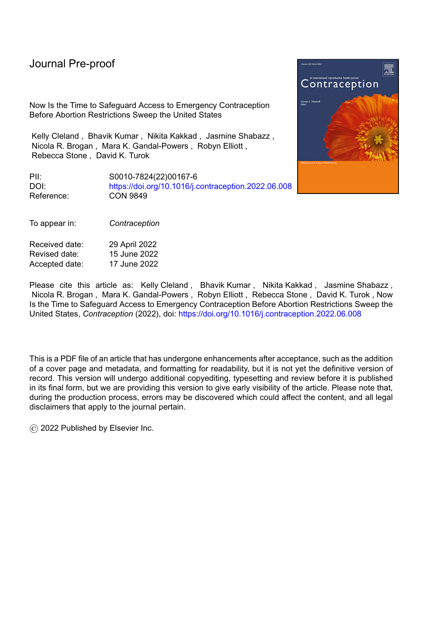Now Is the Time to Safeguard Access to Emergency Contraception Before Abortion Restrictions Sweep the United States

Kelly Cleland , Bhavik Kumar , Nikita Kakkad , Jasmine Shabazz , Nicola R. Brogan , Mara K. Gandal-Powers , Robyn Elliott , Rebecca Stone , David K. Turok

PII: S0010-7824(22)00167-6 DOI: <https://doi.org/10.1016/j.contraception.2022.06.008> Reference: CON 9849

To appear in: *Contraception*

| Received date: | 29 April 2022 |
|----------------|---------------|
| Revised date:  | 15 June 2022  |
| Accepted date: | 17 June 2022  |

Please cite this article as: Kelly Cleland, Bhavik Kumar, Nikita Kakkad, Jasmine Shabazz, Nicola R. Brogan , Mara K. Gandal-Powers , Robyn Elliott , Rebecca Stone , David K. Turok , Now Is the Time to Safeguard Access to Emergency Contraception Before Abortion Restrictions Sweep the United States, *Contraception* (2022), doi: <https://doi.org/10.1016/j.contraception.2022.06.008>

This is a PDF file of an article that has undergone enhancements after acceptance, such as the addition of a cover page and metadata, and formatting for readability, but it is not yet the definitive version of record. This version will undergo additional copyediting, typesetting and review before it is published in its final form, but we are providing this version to give early visibility of the article. Please note that, during the production process, errors may be discovered which could affect the content, and all legal disclaimers that apply to the journal pertain.

© 2022 Published by Elsevier Inc.

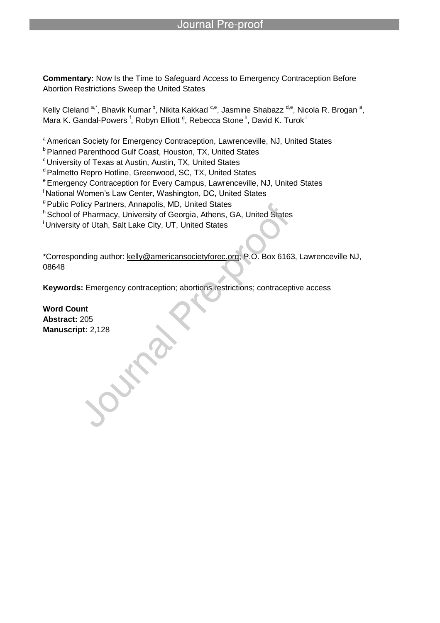**Commentary:** Now Is the Time to Safeguard Access to Emergency Contraception Before Abortion Restrictions Sweep the United States

Kelly Cleland <sup>a,\*</sup>, Bhavik Kumar <sup>b</sup>, Nikita Kakkad <sup>c,e</sup>, Jasmine Shabazz <sup>d,e</sup>, Nicola R. Brogan <sup>a</sup>, Mara K. Gandal-Powers <sup>f</sup>, Robyn Elliott <sup>g</sup>, Rebecca Stone <sup>h</sup>, David K. Turok <sup>i</sup>

a American Society for Emergency Contraception, Lawrenceville, NJ, United States

**b** Planned Parenthood Gulf Coast, Houston, TX, United States

l

<sup>c</sup> University of Texas at Austin, Austin, TX, United States

<sup>d</sup> Palmetto Repro Hotline, Greenwood, SC, TX, United States

<sup>e</sup> Emergency Contraception for Every Campus, Lawrenceville, NJ, United States

<sup>f</sup> National Women's Law Center, Washington, DC, United States

<sup>g</sup> Public Policy Partners, Annapolis, MD, United States

h School of Pharmacy, University of Georgia, Athens, GA, United States

<sup>i</sup> University of Utah, Salt Lake City, UT, United States

\*Corresponding author: kelly@americansocietyforec.org; P.O. Box 6163, Lawrenceville NJ, 08648

**Keywords:** Emergency contraception; abortions restrictions; contraceptive access

**Word Count Abstract:** 205 **Manuscript:** 2,128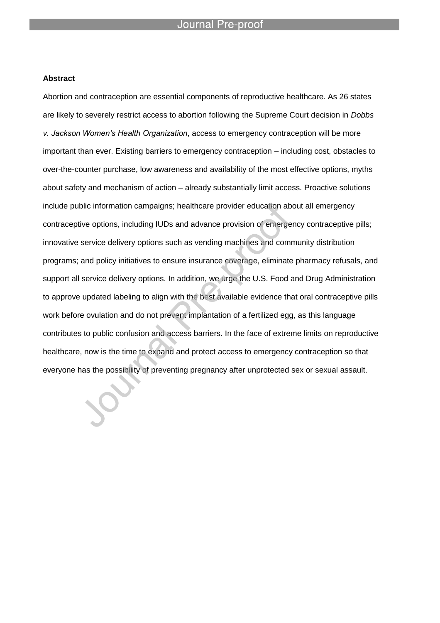l

#### **Abstract**

Abortion and contraception are essential components of reproductive healthcare. As 26 states are likely to severely restrict access to abortion following the Supreme Court decision in *Dobbs v. Jackson Women's Health Organization*, access to emergency contraception will be more important than ever. Existing barriers to emergency contraception – including cost, obstacles to over-the-counter purchase, low awareness and availability of the most effective options, myths about safety and mechanism of action – already substantially limit access. Proactive solutions include public information campaigns; healthcare provider education about all emergency contraceptive options, including IUDs and advance provision of emergency contraceptive pills; innovative service delivery options such as vending machines and community distribution programs; and policy initiatives to ensure insurance coverage, eliminate pharmacy refusals, and support all service delivery options. In addition, we urge the U.S. Food and Drug Administration to approve updated labeling to align with the best available evidence that oral contraceptive pills work before ovulation and do not prevent implantation of a fertilized egg, as this language contributes to public confusion and access barriers. In the face of extreme limits on reproductive healthcare, now is the time to expand and protect access to emergency contraception so that everyone has the possibility of preventing pregnancy after unprotected sex or sexual assault.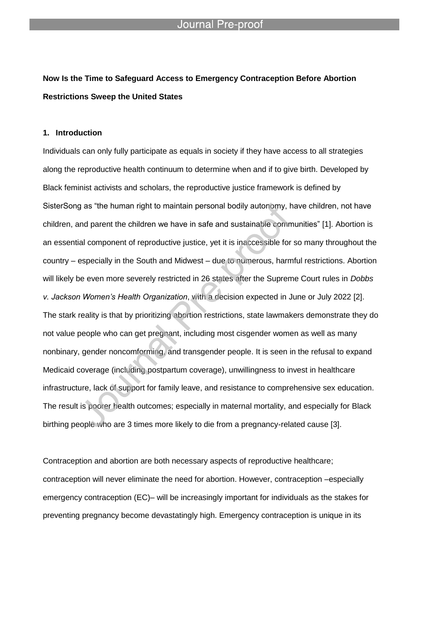# **Now Is the Time to Safeguard Access to Emergency Contraception Before Abortion Restrictions Sweep the United States**

l

#### **1. Introduction**

Individuals can only fully participate as equals in society if they have access to all strategies along the reproductive health continuum to determine when and if to give birth. Developed by Black feminist activists and scholars, the reproductive justice framework is defined by SisterSong as "the human right to maintain personal bodily autonomy, have children, not have children, and parent the children we have in safe and sustainable communities‖ [1]. Abortion is an essential component of reproductive justice, yet it is inaccessible for so many throughout the country – especially in the South and Midwest – due to numerous, harmful restrictions. Abortion will likely be even more severely restricted in 26 states after the Supreme Court rules in *Dobbs v. Jackson Women's Health Organization*, with a decision expected in June or July 2022 [2]. The stark reality is that by prioritizing abortion restrictions, state lawmakers demonstrate they do not value people who can get pregnant, including most cisgender women as well as many nonbinary, gender noncomforming, and transgender people. It is seen in the refusal to expand Medicaid coverage (including postpartum coverage), unwillingness to invest in healthcare infrastructure, lack of support for family leave, and resistance to comprehensive sex education. The result is poorer health outcomes; especially in maternal mortality, and especially for Black birthing people who are 3 times more likely to die from a pregnancy-related cause [3].

Contraception and abortion are both necessary aspects of reproductive healthcare; contraception will never eliminate the need for abortion. However, contraception –especially emergency contraception (EC)– will be increasingly important for individuals as the stakes for preventing pregnancy become devastatingly high. Emergency contraception is unique in its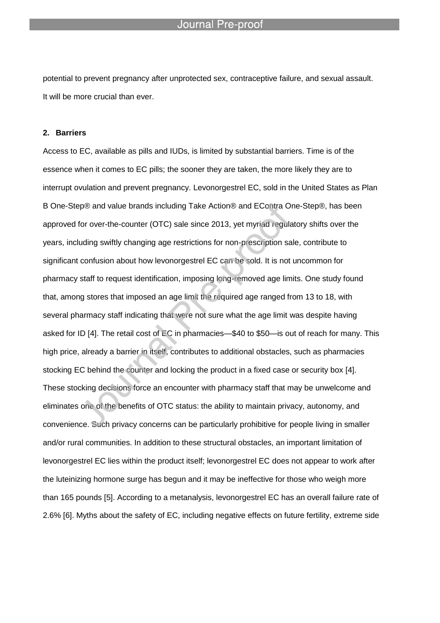potential to prevent pregnancy after unprotected sex, contraceptive failure, and sexual assault. It will be more crucial than ever.

l

#### **2. Barriers**

Access to EC, available as pills and IUDs, is limited by substantial barriers. Time is of the essence when it comes to EC pills; the sooner they are taken, the more likely they are to interrupt ovulation and prevent pregnancy. Levonorgestrel EC, sold in the United States as Plan B One-Step® and value brands including Take Action® and EContra One-Step®, has been approved for over-the-counter (OTC) sale since 2013, yet myriad regulatory shifts over the years, including swiftly changing age restrictions for non-prescription sale, contribute to significant confusion about how levonorgestrel EC can be sold. It is not uncommon for pharmacy staff to request identification, imposing long-removed age limits. One study found that, among stores that imposed an age limit the required age ranged from 13 to 18, with several pharmacy staff indicating that were not sure what the age limit was despite having asked for ID [4]. The retail cost of EC in pharmacies—\$40 to \$50—is out of reach for many. This high price, already a barrier in itself, contributes to additional obstacles, such as pharmacies stocking EC behind the counter and locking the product in a fixed case or security box [4]. These stocking decisions force an encounter with pharmacy staff that may be unwelcome and eliminates one of the benefits of OTC status: the ability to maintain privacy, autonomy, and convenience. Such privacy concerns can be particularly prohibitive for people living in smaller and/or rural communities. In addition to these structural obstacles, an important limitation of levonorgestrel EC lies within the product itself; levonorgestrel EC does not appear to work after the luteinizing hormone surge has begun and it may be ineffective for those who weigh more than 165 pounds [5]. According to a metanalysis, levonorgestrel EC has an overall failure rate of 2.6% [6]. Myths about the safety of EC, including negative effects on future fertility, extreme side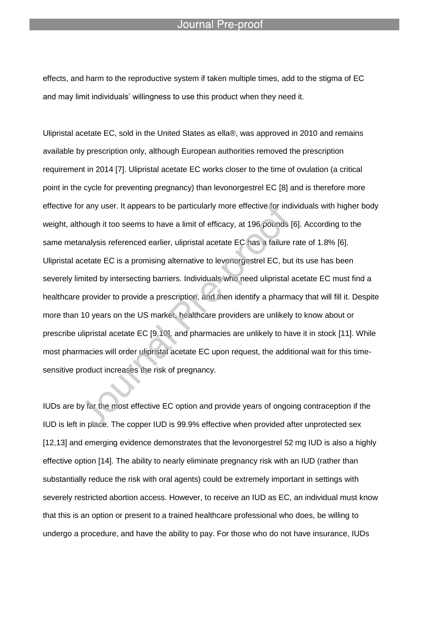effects, and harm to the reproductive system if taken multiple times, add to the stigma of EC and may limit individuals' willingness to use this product when they need it.

l

Ulipristal acetate EC, sold in the United States as ella®, was approved in 2010 and remains available by prescription only, although European authorities removed the prescription requirement in 2014 [7]. Ulipristal acetate EC works closer to the time of ovulation (a critical point in the cycle for preventing pregnancy) than levonorgestrel EC [8] and is therefore more effective for any user. It appears to be particularly more effective for individuals with higher body weight, although it too seems to have a limit of efficacy, at 196 pounds [6]. According to the same metanalysis referenced earlier, ulipristal acetate EC has a failure rate of 1.8% [6]. Ulipristal acetate EC is a promising alternative to levonorgestrel EC, but its use has been severely limited by intersecting barriers. Individuals who need ulipristal acetate EC must find a healthcare provider to provide a prescription, and then identify a pharmacy that will fill it. Despite more than 10 years on the US market, healthcare providers are unlikely to know about or prescribe ulipristal acetate EC [9,10], and pharmacies are unlikely to have it in stock [11]. While most pharmacies will order ulipristal acetate EC upon request, the additional wait for this timesensitive product increases the risk of pregnancy.

IUDs are by far the most effective EC option and provide years of ongoing contraception if the IUD is left in place. The copper IUD is 99.9% effective when provided after unprotected sex [12,13] and emerging evidence demonstrates that the levonorgestrel 52 mg IUD is also a highly effective option [14]. The ability to nearly eliminate pregnancy risk with an IUD (rather than substantially reduce the risk with oral agents) could be extremely important in settings with severely restricted abortion access. However, to receive an IUD as EC, an individual must know that this is an option or present to a trained healthcare professional who does, be willing to undergo a procedure, and have the ability to pay. For those who do not have insurance, IUDs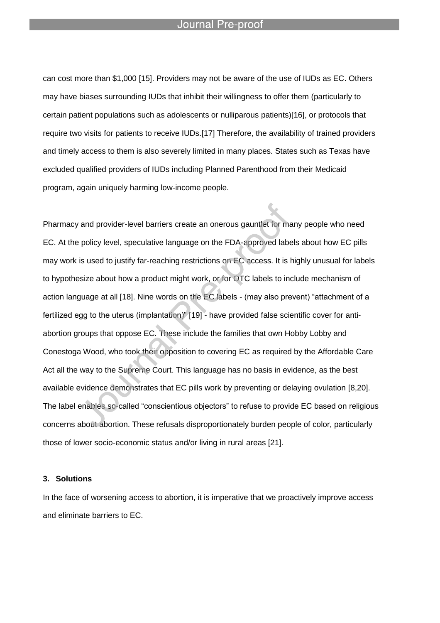l

can cost more than \$1,000 [15]. Providers may not be aware of the use of IUDs as EC. Others may have biases surrounding IUDs that inhibit their willingness to offer them (particularly to certain patient populations such as adolescents or nulliparous patients)[16], or protocols that require two visits for patients to receive IUDs.[17] Therefore, the availability of trained providers and timely access to them is also severely limited in many places. States such as Texas have excluded qualified providers of IUDs including Planned Parenthood from their Medicaid program, again uniquely harming low-income people.

Pharmacy and provider-level barriers create an onerous gauntlet for many people who need EC. At the policy level, speculative language on the FDA-approved labels about how EC pills may work is used to justify far-reaching restrictions on EC access. It is highly unusual for labels to hypothesize about how a product might work, or for OTC labels to include mechanism of action language at all [18]. Nine words on the EC labels - (may also prevent) "attachment of a fertilized egg to the uterus (implantation)" [19] - have provided false scientific cover for antiabortion groups that oppose EC. These include the families that own Hobby Lobby and Conestoga Wood, who took their opposition to covering EC as required by the Affordable Care Act all the way to the Supreme Court. This language has no basis in evidence, as the best available evidence demonstrates that EC pills work by preventing or delaying ovulation [8,20]. The label enables so-called "conscientious objectors" to refuse to provide EC based on religious concerns about abortion. These refusals disproportionately burden people of color, particularly those of lower socio-economic status and/or living in rural areas [21].

#### **3. Solutions**

In the face of worsening access to abortion, it is imperative that we proactively improve access and eliminate barriers to EC.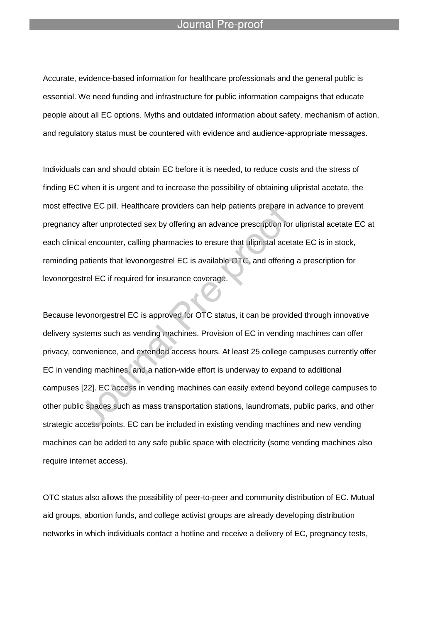l

Accurate, evidence-based information for healthcare professionals and the general public is essential. We need funding and infrastructure for public information campaigns that educate people about all EC options. Myths and outdated information about safety, mechanism of action, and regulatory status must be countered with evidence and audience-appropriate messages.

Individuals can and should obtain EC before it is needed, to reduce costs and the stress of finding EC when it is urgent and to increase the possibility of obtaining ulipristal acetate, the most effective EC pill. Healthcare providers can help patients prepare in advance to prevent pregnancy after unprotected sex by offering an advance prescription for ulipristal acetate EC at each clinical encounter, calling pharmacies to ensure that ulipristal acetate EC is in stock, reminding patients that levonorgestrel EC is available OTC, and offering a prescription for levonorgestrel EC if required for insurance coverage.

Because levonorgestrel EC is approved for OTC status, it can be provided through innovative delivery systems such as vending machines. Provision of EC in vending machines can offer privacy, convenience, and extended access hours. At least 25 college campuses currently offer EC in vending machines, and a nation-wide effort is underway to expand to additional campuses [22]. EC access in vending machines can easily extend beyond college campuses to other public spaces such as mass transportation stations, laundromats, public parks, and other strategic access points. EC can be included in existing vending machines and new vending machines can be added to any safe public space with electricity (some vending machines also require internet access).

OTC status also allows the possibility of peer-to-peer and community distribution of EC. Mutual aid groups, abortion funds, and college activist groups are already developing distribution networks in which individuals contact a hotline and receive a delivery of EC, pregnancy tests,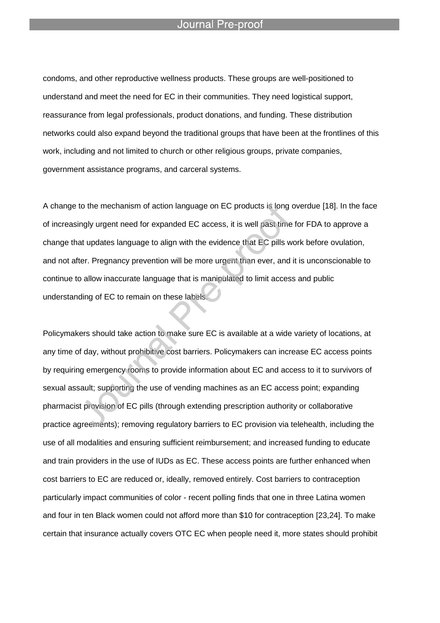l

condoms, and other reproductive wellness products. These groups are well-positioned to understand and meet the need for EC in their communities. They need logistical support, reassurance from legal professionals, product donations, and funding. These distribution networks could also expand beyond the traditional groups that have been at the frontlines of this work, including and not limited to church or other religious groups, private companies, government assistance programs, and carceral systems.

A change to the mechanism of action language on EC products is long overdue [18]. In the face of increasingly urgent need for expanded EC access, it is well past time for FDA to approve a change that updates language to align with the evidence that EC pills work before ovulation, and not after. Pregnancy prevention will be more urgent than ever, and it is unconscionable to continue to allow inaccurate language that is manipulated to limit access and public understanding of EC to remain on these labels.

Policymakers should take action to make sure EC is available at a wide variety of locations, at any time of day, without prohibitive cost barriers. Policymakers can increase EC access points by requiring emergency rooms to provide information about EC and access to it to survivors of sexual assault; supporting the use of vending machines as an EC access point; expanding pharmacist provision of EC pills (through extending prescription authority or collaborative practice agreements); removing regulatory barriers to EC provision via telehealth, including the use of all modalities and ensuring sufficient reimbursement; and increased funding to educate and train providers in the use of IUDs as EC. These access points are further enhanced when cost barriers to EC are reduced or, ideally, removed entirely. Cost barriers to contraception particularly impact communities of color - recent polling finds that one in three Latina women and four in ten Black women could not afford more than \$10 for contraception [23,24]. To make certain that insurance actually covers OTC EC when people need it, more states should prohibit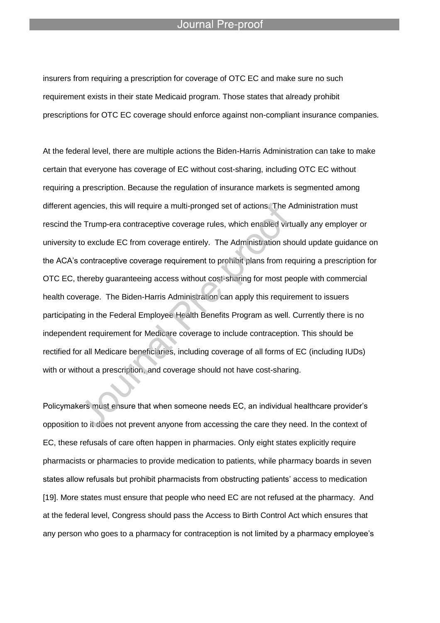l

insurers from requiring a prescription for coverage of OTC EC and make sure no such requirement exists in their state Medicaid program. Those states that already prohibit prescriptions for OTC EC coverage should enforce against non-compliant insurance companies.

At the federal level, there are multiple actions the Biden-Harris Administration can take to make certain that everyone has coverage of EC without cost-sharing, including OTC EC without requiring a prescription. Because the regulation of insurance markets is segmented among different agencies, this will require a multi-pronged set of actions. The Administration must rescind the Trump-era contraceptive coverage rules, which enabled virtually any employer or university to exclude EC from coverage entirely. The Administration should update guidance on the ACA's contraceptive coverage requirement to prohibit plans from requiring a prescription for OTC EC, thereby guaranteeing access without cost-sharing for most people with commercial health coverage. The Biden-Harris Administration can apply this requirement to issuers participating in the Federal Employee Health Benefits Program as well. Currently there is no independent requirement for Medicare coverage to include contraception. This should be rectified for all Medicare beneficiaries, including coverage of all forms of EC (including IUDs) with or without a prescription, and coverage should not have cost-sharing.

Policymakers must ensure that when someone needs EC, an individual healthcare provider's opposition to it does not prevent anyone from accessing the care they need. In the context of EC, these refusals of care often happen in pharmacies. Only eight states explicitly require pharmacists or pharmacies to provide medication to patients, while pharmacy boards in seven states allow refusals but prohibit pharmacists from obstructing patients' access to medication [19]. More states must ensure that people who need EC are not refused at the pharmacy. And at the federal level, Congress should pass the Access to Birth Control Act which ensures that any person who goes to a pharmacy for contraception is not limited by a pharmacy employee's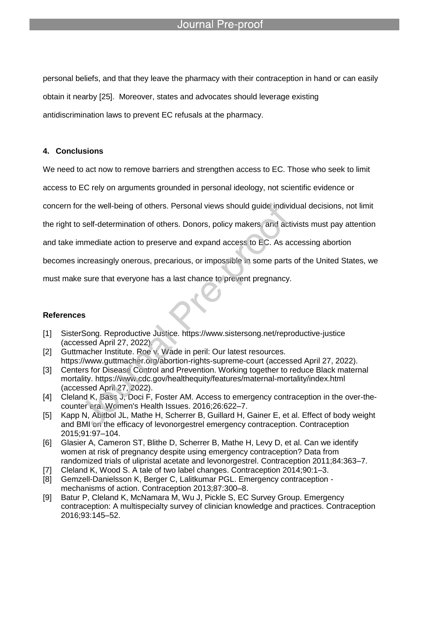personal beliefs, and that they leave the pharmacy with their contraception in hand or can easily obtain it nearby [25]. Moreover, states and advocates should leverage existing antidiscrimination laws to prevent EC refusals at the pharmacy.

#### **4. Conclusions**

We need to act now to remove barriers and strengthen access to EC. Those who seek to limit

access to EC rely on arguments grounded in personal ideology, not scientific evidence or

concern for the well-being of others. Personal views should guide individual decisions, not limit

the right to self-determination of others. Donors, policy makers, and activists must pay attention

and take immediate action to preserve and expand access to EC. As accessing abortion

becomes increasingly onerous, precarious, or impossible in some parts of the United States, we

must make sure that everyone has a last chance to prevent pregnancy.

l

#### **References**

- [1] SisterSong. Reproductive Justice. https://www.sistersong.net/reproductive-justice (accessed April 27, 2022).
- [2] Guttmacher Institute. Roe v. Wade in peril: Our latest resources. https://www.guttmacher.org/abortion-rights-supreme-court (accessed April 27, 2022).
- [3] Centers for Disease Control and Prevention. Working together to reduce Black maternal mortality. https://www.cdc.gov/healthequity/features/maternal-mortality/index.html (accessed April 27, 2022).
- [4] Cleland K, Bass J, Doci F, Foster AM. Access to emergency contraception in the over-thecounter era. Women's Health Issues. 2016;26:622–7.
- [5] Kapp N, Abitbol JL, Mathe H, Scherrer B, Guillard H, Gainer E, et al. Effect of body weight and BMI on the efficacy of levonorgestrel emergency contraception. Contraception 2015;91:97–104.
- [6] Glasier A, Cameron ST, Blithe D, Scherrer B, Mathe H, Levy D, et al. Can we identify women at risk of pregnancy despite using emergency contraception? Data from randomized trials of ulipristal acetate and levonorgestrel. Contraception 2011;84:363–7.
- [7] Cleland K, Wood S. A tale of two label changes. Contraception 2014;90:1–3.
- [8] Gemzell-Danielsson K, Berger C, Lalitkumar PGL. Emergency contraception mechanisms of action. Contraception 2013;87:300–8.
- [9] Batur P, Cleland K, McNamara M, Wu J, Pickle S, EC Survey Group. Emergency contraception: A multispecialty survey of clinician knowledge and practices. Contraception 2016;93:145–52.